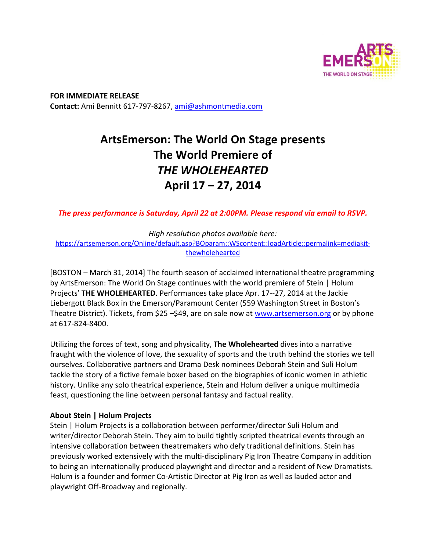

**FOR IMMEDIATE RELEASE Contact:** Ami Bennitt 617‐797‐8267, ami@ashmontmedia.com

# **ArtsEmerson: The World On Stage presents The World Premiere of**  *THE WHOLEHEARTED*  **April 17 – 27, 2014**

*The press performance is Saturday, April 22 at 2:00PM. Please respond via email to RSVP.* 

*High resolution photos available here:*  https://artsemerson.org/Online/default.asp?BOparam::WScontent::loadArticle::permalink=mediakit‐ thewholehearted

[BOSTON – March 31, 2014] The fourth season of acclaimed international theatre programming by ArtsEmerson: The World On Stage continues with the world premiere of Stein | Holum Projects' **THE WHOLEHEARTED**. Performances take place Apr. 17‐‐27, 2014 at the Jackie Liebergott Black Box in the Emerson/Paramount Center (559 Washington Street in Boston's Theatre District). Tickets, from \$25 -\$49, are on sale now at www.artsemerson.org or by phone at 617‐824‐8400.

Utilizing the forces of text, song and physicality, **The Wholehearted** dives into a narrative fraught with the violence of love, the sexuality of sports and the truth behind the stories we tell ourselves. Collaborative partners and Drama Desk nominees Deborah Stein and Suli Holum tackle the story of a fictive female boxer based on the biographies of iconic women in athletic history. Unlike any solo theatrical experience, Stein and Holum deliver a unique multimedia feast, questioning the line between personal fantasy and factual reality.

## **About Stein | Holum Projects**

Stein | Holum Projects is a collaboration between performer/director Suli Holum and writer/director Deborah Stein. They aim to build tightly scripted theatrical events through an intensive collaboration between theatremakers who defy traditional definitions. Stein has previously worked extensively with the multi‐disciplinary Pig Iron Theatre Company in addition to being an internationally produced playwright and director and a resident of New Dramatists. Holum is a founder and former Co‐Artistic Director at Pig Iron as well as lauded actor and playwright Off‐Broadway and regionally.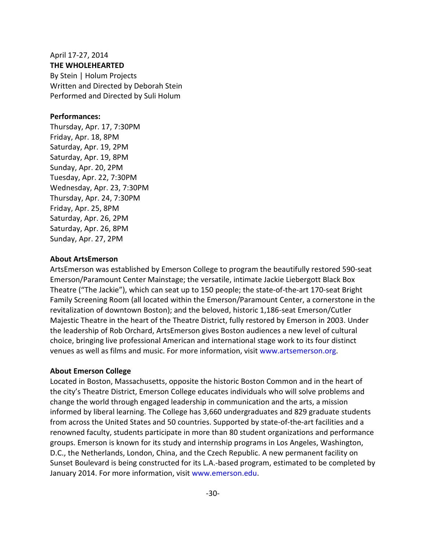## April 17‐27, 2014 **THE WHOLEHEARTED**  By Stein | Holum Projects Written and Directed by Deborah Stein Performed and Directed by Suli Holum

#### **Performances:**

Thursday, Apr. 17, 7:30PM Friday, Apr. 18, 8PM Saturday, Apr. 19, 2PM Saturday, Apr. 19, 8PM Sunday, Apr. 20, 2PM Tuesday, Apr. 22, 7:30PM Wednesday, Apr. 23, 7:30PM Thursday, Apr. 24, 7:30PM Friday, Apr. 25, 8PM Saturday, Apr. 26, 2PM Saturday, Apr. 26, 8PM Sunday, Apr. 27, 2PM

#### **About ArtsEmerson**

ArtsEmerson was established by Emerson College to program the beautifully restored 590‐seat Emerson/Paramount Center Mainstage; the versatile, intimate Jackie Liebergott Black Box Theatre ("The Jackie"), which can seat up to 150 people; the state‐of‐the‐art 170‐seat Bright Family Screening Room (all located within the Emerson/Paramount Center, a cornerstone in the revitalization of downtown Boston); and the beloved, historic 1,186‐seat Emerson/Cutler Majestic Theatre in the heart of the Theatre District, fully restored by Emerson in 2003. Under the leadership of Rob Orchard, ArtsEmerson gives Boston audiences a new level of cultural choice, bringing live professional American and international stage work to its four distinct venues as well as films and music. For more information, visit www.artsemerson.org.

### **About Emerson College**

Located in Boston, Massachusetts, opposite the historic Boston Common and in the heart of the city's Theatre District, Emerson College educates individuals who will solve problems and change the world through engaged leadership in communication and the arts, a mission informed by liberal learning. The College has 3,660 undergraduates and 829 graduate students from across the United States and 50 countries. Supported by state-of-the-art facilities and a renowned faculty, students participate in more than 80 student organizations and performance groups. Emerson is known for its study and internship programs in Los Angeles, Washington, D.C., the Netherlands, London, China, and the Czech Republic. A new permanent facility on Sunset Boulevard is being constructed for its L.A.‐based program, estimated to be completed by January 2014. For more information, visit www.emerson.edu.